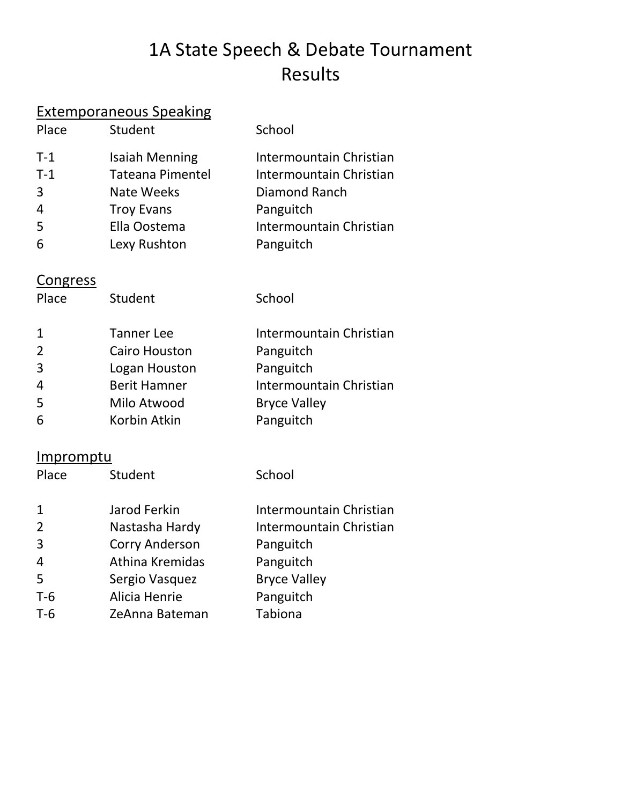# 1A State Speech & Debate Tournament Results

#### Extemporaneous Speaking

| Place          | Student                 | School                  |
|----------------|-------------------------|-------------------------|
| $T-1$          | <b>Isaiah Menning</b>   | Intermountain Christian |
| $T-1$          | <b>Tateana Pimentel</b> | Intermountain Christian |
| $\overline{3}$ | <b>Nate Weeks</b>       | Diamond Ranch           |
| 4              | <b>Troy Evans</b>       | Panguitch               |
| 5              | Ella Oostema            | Intermountain Christian |
| 6              | Lexy Rushton            | Panguitch               |

#### **Congress**

| Place          | Student              | School                  |
|----------------|----------------------|-------------------------|
| $\mathbf{1}$   | <b>Tanner Lee</b>    | Intermountain Christian |
| 2              | <b>Cairo Houston</b> | Panguitch               |
| 3              | Logan Houston        | Panguitch               |
| $\overline{4}$ | <b>Berit Hamner</b>  | Intermountain Christian |
| 5              | Milo Atwood          | <b>Bryce Valley</b>     |
| 6              | Korbin Atkin         | Panguitch               |

### **Impromptu**

| Place          | Student               | School                  |
|----------------|-----------------------|-------------------------|
|                |                       |                         |
| $\mathbf{1}$   | Jarod Ferkin          | Intermountain Christian |
| 2              | Nastasha Hardy        | Intermountain Christian |
| 3              | <b>Corry Anderson</b> | Panguitch               |
| $\overline{4}$ | Athina Kremidas       | Panguitch               |
| 5              | Sergio Vasquez        | <b>Bryce Valley</b>     |
| $T-6$          | Alicia Henrie         | Panguitch               |
| $T-6$          | ZeAnna Bateman        | Tabiona                 |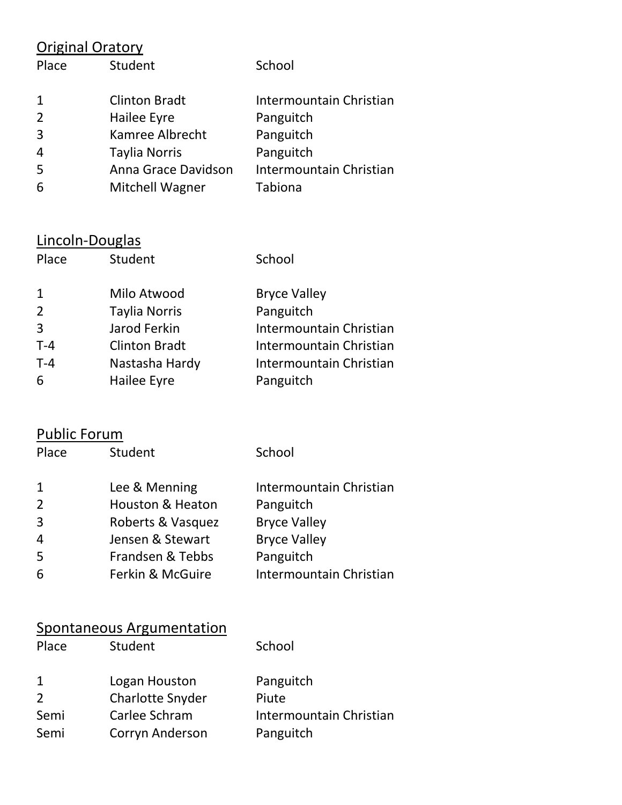# Original Oratory

| Place          | Student              | School                  |
|----------------|----------------------|-------------------------|
| 1              | <b>Clinton Bradt</b> | Intermountain Christian |
| 2              | Hailee Eyre          | Panguitch               |
| $\overline{3}$ | Kamree Albrecht      | Panguitch               |
| $\overline{4}$ | <b>Taylia Norris</b> | Panguitch               |
| 5              | Anna Grace Davidson  | Intermountain Christian |
| 6              | Mitchell Wagner      | Tabiona                 |

## Lincoln-Douglas

| Place        | Student              | School                  |
|--------------|----------------------|-------------------------|
| $\mathbf{1}$ | Milo Atwood          | <b>Bryce Valley</b>     |
| 2            | <b>Taylia Norris</b> | Panguitch               |
| 3            | Jarod Ferkin         | Intermountain Christian |
| $T-4$        | <b>Clinton Bradt</b> | Intermountain Christian |
| $T-4$        | Nastasha Hardy       | Intermountain Christian |
| 6            | Hailee Eyre          | Panguitch               |

## Public Forum

| Place        | Student                     | School                  |
|--------------|-----------------------------|-------------------------|
| $\mathbf{1}$ | Lee & Menning               | Intermountain Christian |
| 2            | <b>Houston &amp; Heaton</b> | Panguitch               |
| 3            | Roberts & Vasquez           | <b>Bryce Valley</b>     |
| 4            | Jensen & Stewart            | <b>Bryce Valley</b>     |
| 5            | Frandsen & Tebbs            | Panguitch               |
| 6            | Ferkin & McGuire            | Intermountain Christian |

### Spontaneous Argumentation

| Place        | Student                 | School                  |
|--------------|-------------------------|-------------------------|
| $\mathbf{1}$ | Logan Houston           | Panguitch               |
| 2            | <b>Charlotte Snyder</b> | Piute                   |
| Semi         | Carlee Schram           | Intermountain Christian |
| Semi         | Corryn Anderson         | Panguitch               |